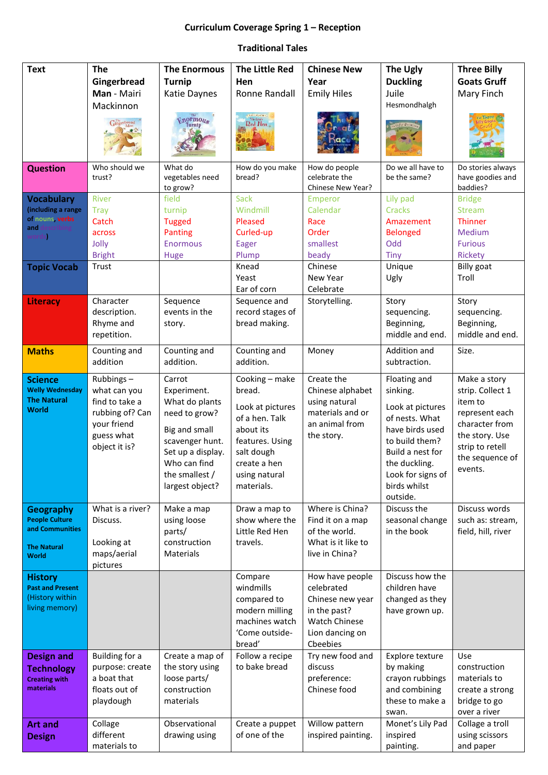## **Curriculum Coverage Spring 1 – Reception**

## **Traditional Tales**

| <b>Text</b>                               | <b>The</b>                        | <b>The Enormous</b>                | <b>The Little Red</b>            | <b>Chinese New</b>                 | The Ugly                           | <b>Three Billy</b>               |
|-------------------------------------------|-----------------------------------|------------------------------------|----------------------------------|------------------------------------|------------------------------------|----------------------------------|
|                                           | Gingerbread                       | <b>Turnip</b>                      | Hen                              | Year                               | <b>Duckling</b>                    | <b>Goats Gruff</b>               |
|                                           | Man - Mairi                       | Katie Daynes                       | <b>Ronne Randall</b>             | <b>Emily Hiles</b>                 | Juile                              | Mary Finch                       |
|                                           | Mackinnon                         |                                    |                                  |                                    | Hesmondhalgh                       |                                  |
|                                           | Gingerbread                       | <b>Enormous</b>                    | Red Hen                          |                                    |                                    |                                  |
|                                           |                                   |                                    |                                  |                                    |                                    |                                  |
|                                           |                                   |                                    |                                  |                                    |                                    |                                  |
| <b>Question</b>                           | Who should we                     | What do                            | How do you make                  | How do people                      | Do we all have to                  | Do stories always                |
|                                           | trust?                            | vegetables need<br>to grow?        | bread?                           | celebrate the<br>Chinese New Year? | be the same?                       | have goodies and<br>baddies?     |
| <b>Vocabulary</b>                         | <b>River</b>                      | field                              | <b>Sack</b>                      | Emperor                            | Lily pad                           | <b>Bridge</b>                    |
| (including a range                        | <b>Tray</b>                       | turnip                             | Windmill                         | Calendar                           | Cracks                             | <b>Stream</b>                    |
| of nouns, verbs                           | Catch                             | <b>Tugged</b>                      | Pleased                          | Race                               | Amazement                          | Thinner                          |
| and                                       | across                            | Panting                            | Curled-up                        | Order                              | <b>Belonged</b>                    | Medium                           |
|                                           | Jolly                             | <b>Enormous</b>                    | Eager                            | smallest                           | Odd                                | <b>Furious</b>                   |
|                                           | <b>Bright</b>                     | Huge                               | Plump                            | beady                              | <b>Tiny</b>                        | Rickety                          |
| <b>Topic Vocab</b>                        | Trust                             |                                    | Knead<br>Yeast                   | Chinese<br>New Year                | Unique                             | <b>Billy goat</b><br>Troll       |
|                                           |                                   |                                    | Ear of corn                      | Celebrate                          | Ugly                               |                                  |
| <b>Literacy</b>                           | Character                         | Sequence                           | Sequence and                     | Storytelling.                      | Story                              | Story                            |
|                                           | description.                      | events in the                      | record stages of                 |                                    | sequencing.                        | sequencing.                      |
|                                           | Rhyme and                         | story.                             | bread making.                    |                                    | Beginning,                         | Beginning,                       |
|                                           | repetition.                       |                                    |                                  |                                    | middle and end.                    | middle and end.                  |
| <b>Maths</b>                              | Counting and                      | Counting and                       | Counting and                     | Money                              | Addition and                       | Size.                            |
|                                           | addition                          | addition.                          | addition.                        |                                    | subtraction.                       |                                  |
| <b>Science</b>                            | Rubbings-                         | Carrot                             | Cooking - make                   | Create the                         | Floating and                       | Make a story                     |
| <b>Welly Wednesday</b>                    | what can you                      | Experiment.                        | bread.                           | Chinese alphabet                   | sinking.                           | strip. Collect 1                 |
| <b>The Natural</b><br><b>World</b>        | find to take a                    | What do plants                     | Look at pictures                 | using natural                      | Look at pictures                   | item to                          |
|                                           | rubbing of? Can                   | need to grow?                      | of a hen. Talk                   | materials and or                   | of nests. What                     | represent each                   |
|                                           | your friend<br>guess what         | Big and small                      | about its                        | an animal from<br>the story.       | have birds used                    | character from<br>the story. Use |
|                                           | object it is?                     | scavenger hunt.                    | features. Using                  |                                    | to build them?                     | strip to retell                  |
|                                           |                                   | Set up a display.                  | salt dough                       |                                    | Build a nest for                   | the sequence of                  |
|                                           |                                   | Who can find<br>the smallest /     | create a hen                     |                                    | the duckling.<br>Look for signs of | events.                          |
|                                           |                                   | largest object?                    | using natural<br>materials.      |                                    | birds whilst                       |                                  |
|                                           |                                   |                                    |                                  |                                    | outside.                           |                                  |
| <b>Geography</b>                          | What is a river?                  | Make a map                         | Draw a map to                    | Where is China?                    | Discuss the                        | Discuss words                    |
| <b>People Culture</b>                     | Discuss.                          | using loose                        | show where the                   | Find it on a map                   | seasonal change                    | such as: stream,                 |
| and Communities                           |                                   | parts/                             | Little Red Hen                   | of the world.                      | in the book                        | field, hill, river               |
| <b>The Natural</b>                        | Looking at                        | construction                       | travels.                         | What is it like to                 |                                    |                                  |
| <b>World</b>                              | maps/aerial<br>pictures           | <b>Materials</b>                   |                                  | live in China?                     |                                    |                                  |
| <b>History</b>                            |                                   |                                    | Compare                          | How have people                    | Discuss how the                    |                                  |
| <b>Past and Present</b>                   |                                   |                                    | windmills                        | celebrated                         | children have                      |                                  |
| (History within                           |                                   |                                    | compared to                      | Chinese new year                   | changed as they                    |                                  |
| living memory)                            |                                   |                                    | modern milling                   | in the past?                       | have grown up.                     |                                  |
|                                           |                                   |                                    | machines watch                   | <b>Watch Chinese</b>               |                                    |                                  |
|                                           |                                   |                                    | 'Come outside-                   | Lion dancing on                    |                                    |                                  |
|                                           |                                   |                                    | bread'                           | Cbeebies                           |                                    |                                  |
| <b>Design and</b>                         | Building for a<br>purpose: create | Create a map of<br>the story using | Follow a recipe<br>to bake bread | Try new food and<br>discuss        | Explore texture<br>by making       | Use<br>construction              |
| <b>Technology</b><br><b>Creating with</b> | a boat that                       | loose parts/                       |                                  | preference:                        | crayon rubbings                    | materials to                     |
| materials                                 | floats out of                     | construction                       |                                  | Chinese food                       | and combining                      | create a strong                  |
|                                           | playdough                         | materials                          |                                  |                                    | these to make a                    | bridge to go                     |
|                                           |                                   |                                    |                                  |                                    | swan.                              | over a river                     |
| <b>Art and</b>                            | Collage                           | Observational                      | Create a puppet                  | Willow pattern                     | Monet's Lily Pad                   | Collage a troll                  |
| <b>Design</b>                             | different                         | drawing using                      | of one of the                    | inspired painting.                 | inspired                           | using scissors                   |
|                                           | materials to                      |                                    |                                  |                                    | painting.                          | and paper                        |